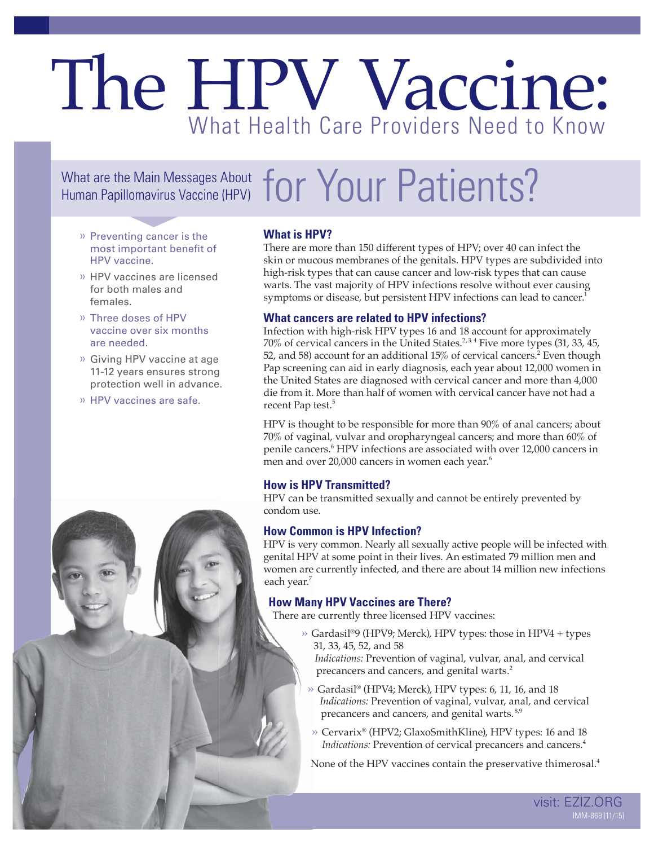## The HPV Vaccine: What Health Care Providers Need to Know

# What are the Main Messages About  $for$  Your Patients?

- » Preventing cancer is the most important benefit of HPV vaccine.
- » HPV vaccines are licensed for both males and females.
- » Three doses of HPV vaccine over six months are needed.
- » Giving HPV vaccine at age 11-12 years ensures strong protection well in advance.
- » HPV vaccines are safe.

#### **What is HPV?**

There are more than 150 different types of HPV; over 40 can infect the skin or mucous membranes of the genitals. HPV types are subdivided into high-risk types that can cause cancer and low-risk types that can cause warts. The vast majority of HPV infections resolve without ever causing symptoms or disease, but persistent HPV infections can lead to cancer.<sup>1</sup>

#### **What cancers are related to HPV infections?**

Infection with high-risk HPV types 16 and 18 account for approximately  $70\%$  of cervical cancers in the United States.<sup>2,34</sup> Five more types (31, 33, 45, 52, and 58) account for an additional 15% of cervical cancers.<sup>2</sup> Even though Pap screening can aid in early diagnosis, each year about 12,000 women in the United States are diagnosed with cervical cancer and more than 4,000 die from it. More than half of women with cervical cancer have not had a recent Pap test.<sup>5</sup>

HPV is thought to be responsible for more than 90% of anal cancers; about 70% of vaginal, vulvar and oropharyngeal cancers; and more than 60% of penile cancers.<sup>6</sup> HPV infections are associated with over 12,000 cancers in men and over 20,000 cancers in women each year.<sup>6</sup>

#### **How is HPV Transmitted?**

HPV can be transmitted sexually and cannot be entirely prevented by condom use.

#### **How Common is HPV Infection?**

HPV is very common. Nearly all sexually active people will be infected with genital HPV at some point in their lives. An estimated 79 million men and women are currently infected, and there are about 14 million new infections each year.<sup>7</sup>

#### **How Many HPV Vaccines are There?**

There are currently three licensed HPV vaccines:

 » Gardasil®9 (HPV9; Merck), HPV types: those in HPV4 + types 31, 33, 45, 52, and 58

 *Indications:* Prevention of vaginal, vulvar, anal, and cervical precancers and cancers, and genital warts.2

- » Gardasil® (HPV4; Merck), HPV types: 6, 11, 16, and 18 *Indications:* Prevention of vaginal, vulvar, anal, and cervical precancers and cancers, and genital warts. 8,9
- » Cervarix® (HPV2; GlaxoSmithKline), HPV types: 16 and 18 *Indications:* Prevention of cervical precancers and cancers.<sup>4</sup>

None of the HPV vaccines contain the preservative thimerosal.<sup>4</sup>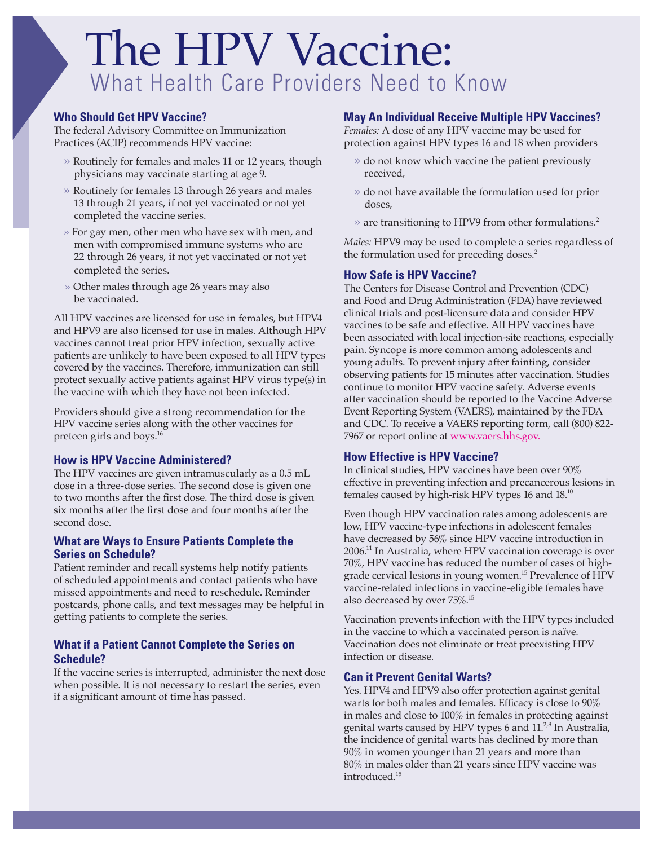## The HPV Vaccine: What Health Care Providers Need to Know

#### **Who Should Get HPV Vaccine?**

The federal Advisory Committee on Immunization Practices (ACIP) recommends HPV vaccine:

- » Routinely for females and males 11 or 12 years, though physicians may vaccinate starting at age 9.
- » Routinely for females 13 through 26 years and males 13 through 21 years, if not yet vaccinated or not yet completed the vaccine series.
- » For gay men, other men who have sex with men, and men with compromised immune systems who are 22 through 26 years, if not yet vaccinated or not yet completed the series.
- » Other males through age 26 years may also be vaccinated.

All HPV vaccines are licensed for use in females, but HPV4 and HPV9 are also licensed for use in males. Although HPV vaccines cannot treat prior HPV infection, sexually active patients are unlikely to have been exposed to all HPV types covered by the vaccines. Therefore, immunization can still protect sexually active patients against HPV virus type(s) in the vaccine with which they have not been infected.

Providers should give a strong recommendation for the HPV vaccine series along with the other vaccines for preteen girls and boys.16

#### **How is HPV Vaccine Administered?**

The HPV vaccines are given intramuscularly as a 0.5 mL dose in a three-dose series. The second dose is given one to two months after the first dose. The third dose is given six months after the first dose and four months after the second dose.

#### **What are Ways to Ensure Patients Complete the Series on Schedule?**

Patient reminder and recall systems help notify patients of scheduled appointments and contact patients who have missed appointments and need to reschedule. Reminder postcards, phone calls, and text messages may be helpful in getting patients to complete the series.

#### **What if a Patient Cannot Complete the Series on Schedule?**

If the vaccine series is interrupted, administer the next dose when possible. It is not necessary to restart the series, even if a significant amount of time has passed.

#### **May An Individual Receive Multiple HPV Vaccines?**

*Females:* A dose of any HPV vaccine may be used for protection against HPV types 16 and 18 when providers

- » do not know which vaccine the patient previously received,
- » do not have available the formulation used for prior doses,
- $\gg$  are transitioning to HPV9 from other formulations.<sup>2</sup>

*Males:* HPV9 may be used to complete a series regardless of the formulation used for preceding doses.<sup>2</sup>

#### **How Safe is HPV Vaccine?**

The Centers for Disease Control and Prevention (CDC) and Food and Drug Administration (FDA) have reviewed clinical trials and post-licensure data and consider HPV vaccines to be safe and effective. All HPV vaccines have been associated with local injection-site reactions, especially pain. Syncope is more common among adolescents and young adults. To prevent injury after fainting, consider observing patients for 15 minutes after vaccination. Studies continue to monitor HPV vaccine safety. Adverse events after vaccination should be reported to the Vaccine Adverse Event Reporting System (VAERS), maintained by the FDA and CDC. To receive a VAERS reporting form, call (800) 822- 7967 or report online at [www.vaers.hhs.gov.](www.vaers.hhs.gov)

#### **How Effective is HPV Vaccine?**

In clinical studies, HPV vaccines have been over 90% effective in preventing infection and precancerous lesions in females caused by high-risk HPV types 16 and 18.10

Even though HPV vaccination rates among adolescents are low, HPV vaccine-type infections in adolescent females have decreased by 56% since HPV vaccine introduction in 2006.11 In Australia, where HPV vaccination coverage is over 70%, HPV vaccine has reduced the number of cases of highgrade cervical lesions in young women.<sup>15</sup> Prevalence of HPV vaccine-related infections in vaccine-eligible females have also decreased by over 75%.<sup>15</sup>

Vaccination prevents infection with the HPV types included in the vaccine to which a vaccinated person is naïve. Vaccination does not eliminate or treat preexisting HPV infection or disease.

#### **Can it Prevent Genital Warts?**

Yes. HPV4 and HPV9 also offer protection against genital warts for both males and females. Efficacy is close to  $90\%$ in males and close to 100% in females in protecting against genital warts caused by HPV types 6 and  $11.^{2,8}$  In Australia, the incidence of genital warts has declined by more than 90% in women younger than 21 years and more than 80% in males older than 21 years since HPV vaccine was introduced.15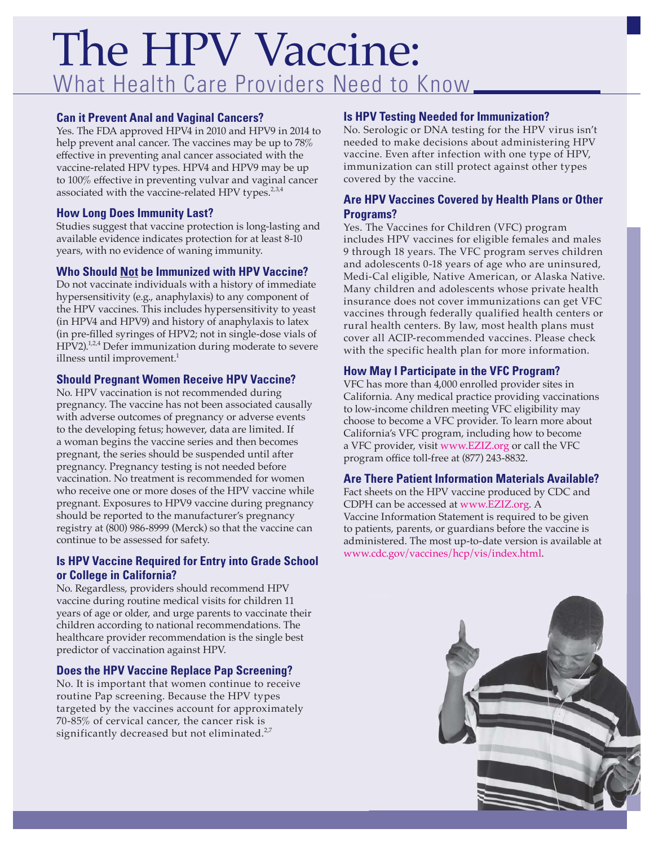### The HPV Vaccine: What Health Care Providers Need to Know

#### **Can it Prevent Anal and Vaginal Cancers?**

Yes. The FDA approved HPV4 in 2010 and HPV9 in 2014 to help prevent anal cancer. The vaccines may be up to 78% effective in preventing anal cancer associated with the vaccine-related HPV types. HPV4 and HPV9 may be up to 100% effective in preventing vulvar and vaginal cancer associated with the vaccine-related HPV types.<sup>2,3,4</sup>

#### **How Long Does Immunity Last?**

Studies suggest that vaccine protection is long-lasting and available evidence indicates protection for at least 8-10 years, with no evidence of waning immunity.

#### **Who Should Not be Immunized with HPV Vaccine?**

Do not vaccinate individuals with a history of immediate hypersensitivity (e.g., anaphylaxis) to any component of the HPV vaccines. This includes hypersensitivity to yeast (in HPV4 and HPV9) and history of anaphylaxis to latex (in pre-filled syringes of HPV2; not in single-dose vials of HPV2).<sup>1,2,4</sup> Defer immunization during moderate to severe illness until improvement. $1$ 

#### **Should Pregnant Women Receive HPV Vaccine?**

No. HPV vaccination is not recommended during pregnancy. The vaccine has not been associated causally with adverse outcomes of pregnancy or adverse events to the developing fetus; however, data are limited. If a woman begins the vaccine series and then becomes pregnant, the series should be suspended until after pregnancy. Pregnancy testing is not needed before vaccination. No treatment is recommended for women who receive one or more doses of the HPV vaccine while pregnant. Exposures to HPV9 vaccine during pregnancy should be reported to the manufacturer's pregnancy registry at (800) 986-8999 (Merck) so that the vaccine can continue to be assessed for safety.

#### **Is HPV Vaccine Required for Entry into Grade School or College in California?**

No. Regardless, providers should recommend HPV vaccine during routine medical visits for children 11 years of age or older, and urge parents to vaccinate their children according to national recommendations. The healthcare provider recommendation is the single best predictor of vaccination against HPV.

#### **Does the HPV Vaccine Replace Pap Screening?**

No. It is important that women continue to receive routine Pap screening. Because the HPV types targeted by the vaccines account for approximately 70-85% of cervical cancer, the cancer risk is significantly decreased but not eliminated.<sup>2,7</sup>

#### **Is HPV Testing Needed for Immunization?**

No. Serologic or DNA testing for the HPV virus isn't needed to make decisions about administering HPV vaccine. Even after infection with one type of HPV, immunization can still protect against other types covered by the vaccine.

#### **Are HPV Vaccines Covered by Health Plans or Other Programs?**

Yes. The Vaccines for Children (VFC) program includes HPV vaccines for eligible females and males 9 through 18 years. The VFC program serves children and adolescents 0-18 years of age who are uninsured, Medi-Cal eligible, Native American, or Alaska Native. Many children and adolescents whose private health insurance does not cover immunizations can get VFC vaccines through federally qualified health centers or rural health centers. By law, most health plans must cover all ACIP-recommended vaccines. Please check with the specific health plan for more information.

#### **How May I Participate in the VFC Program?**

VFC has more than 4,000 enrolled provider sites in California. Any medical practice providing vaccinations to low-income children meeting VFC eligibility may choose to become a VFC provider. To learn more about California's VFC program, including how to become a VFC provider, visit <www.EZIZ.org> or call the VFC program office toll-free at (877) 243-8832.

#### **Are There Patient Information Materials Available?**

Fact sheets on the HPV vaccine produced by CDC and CDPH can be accessed at<www.EZIZ.org>. A Vaccine Information Statement is required to be given to patients, parents, or guardians before the vaccine is administered. The most up-to-date version is available at <www.cdc.gov/vaccines/hcp/vis/index.html>.